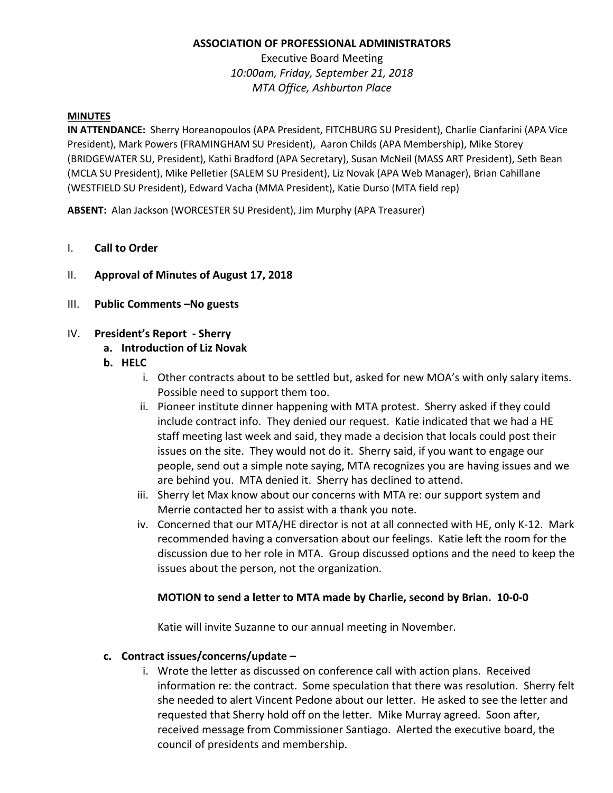### **ASSOCIATION OF PROFESSIONAL ADMINISTRATORS**

Executive Board Meeting *10:00am, Friday, September 21, 2018 MTA Office, Ashburton Place*

#### **MINUTES**

**IN ATTENDANCE:** Sherry Horeanopoulos (APA President, FITCHBURG SU President), Charlie Cianfarini (APA Vice President), Mark Powers (FRAMINGHAM SU President), Aaron Childs (APA Membership), Mike Storey (BRIDGEWATER SU, President), Kathi Bradford (APA Secretary), Susan McNeil (MASS ART President), Seth Bean (MCLA SU President), Mike Pelletier (SALEM SU President), Liz Novak (APA Web Manager), Brian Cahillane (WESTFIELD SU President), Edward Vacha (MMA President), Katie Durso (MTA field rep)

**ABSENT:** Alan Jackson (WORCESTER SU President), Jim Murphy (APA Treasurer)

#### I. **Call to Order**

- II. **Approval of Minutes of August 17, 2018**
- III. **Public Comments –No guests**

#### IV. **President's Report - Sherry**

#### **a. Introduction of Liz Novak**

- **b. HELC**
	- i. Other contracts about to be settled but, asked for new MOA's with only salary items. Possible need to support them too.
	- ii. Pioneer institute dinner happening with MTA protest. Sherry asked if they could include contract info. They denied our request. Katie indicated that we had a HE staff meeting last week and said, they made a decision that locals could post their issues on the site. They would not do it. Sherry said, if you want to engage our people, send out a simple note saying, MTA recognizes you are having issues and we are behind you. MTA denied it. Sherry has declined to attend.
	- iii. Sherry let Max know about our concerns with MTA re: our support system and Merrie contacted her to assist with a thank you note.
	- iv. Concerned that our MTA/HE director is not at all connected with HE, only K-12. Mark recommended having a conversation about our feelings. Katie left the room for the discussion due to her role in MTA. Group discussed options and the need to keep the issues about the person, not the organization.

#### **MOTION to send a letter to MTA made by Charlie, second by Brian. 10-0-0**

Katie will invite Suzanne to our annual meeting in November.

#### **c. Contract issues/concerns/update –**

i. Wrote the letter as discussed on conference call with action plans. Received information re: the contract. Some speculation that there was resolution. Sherry felt she needed to alert Vincent Pedone about our letter. He asked to see the letter and requested that Sherry hold off on the letter. Mike Murray agreed. Soon after, received message from Commissioner Santiago. Alerted the executive board, the council of presidents and membership.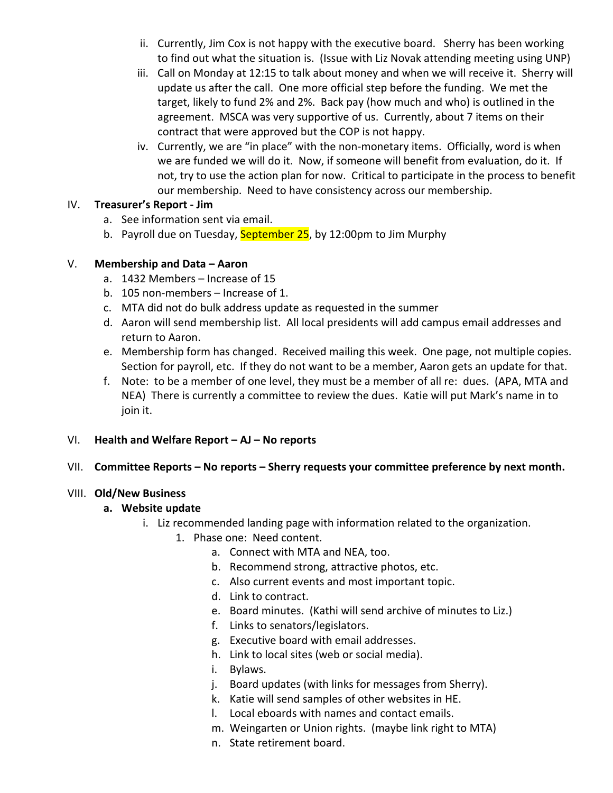- ii. Currently, Jim Cox is not happy with the executive board. Sherry has been working to find out what the situation is. (Issue with Liz Novak attending meeting using UNP)
- iii. Call on Monday at 12:15 to talk about money and when we will receive it. Sherry will update us after the call. One more official step before the funding. We met the target, likely to fund 2% and 2%. Back pay (how much and who) is outlined in the agreement. MSCA was very supportive of us. Currently, about 7 items on their contract that were approved but the COP is not happy.
- iv. Currently, we are "in place" with the non-monetary items. Officially, word is when we are funded we will do it. Now, if someone will benefit from evaluation, do it. If not, try to use the action plan for now. Critical to participate in the process to benefit our membership. Need to have consistency across our membership.

### IV. **Treasurer's Report - Jim**

- a. See information sent via email.
- b. Payroll due on Tuesday, September 25, by 12:00pm to Jim Murphy

## V. **Membership and Data – Aaron**

- a. 1432 Members Increase of 15
- b. 105 non-members Increase of 1.
- c. MTA did not do bulk address update as requested in the summer
- d. Aaron will send membership list. All local presidents will add campus email addresses and return to Aaron.
- e. Membership form has changed. Received mailing this week. One page, not multiple copies. Section for payroll, etc. If they do not want to be a member, Aaron gets an update for that.
- f. Note: to be a member of one level, they must be a member of all re: dues. (APA, MTA and NEA) There is currently a committee to review the dues. Katie will put Mark's name in to join it.

## VI. **Health and Welfare Report – AJ – No reports**

## VII. **Committee Reports – No reports – Sherry requests your committee preference by next month.**

## VIII. **Old/New Business**

## **a. Website update**

- i. Liz recommended landing page with information related to the organization.
	- 1. Phase one: Need content.
		- a. Connect with MTA and NEA, too.
		- b. Recommend strong, attractive photos, etc.
		- c. Also current events and most important topic.
		- d. Link to contract.
		- e. Board minutes. (Kathi will send archive of minutes to Liz.)
		- f. Links to senators/legislators.
		- g. Executive board with email addresses.
		- h. Link to local sites (web or social media).
		- i. Bylaws.
		- j. Board updates (with links for messages from Sherry).
		- k. Katie will send samples of other websites in HE.
		- l. Local eboards with names and contact emails.
		- m. Weingarten or Union rights. (maybe link right to MTA)
		- n. State retirement board.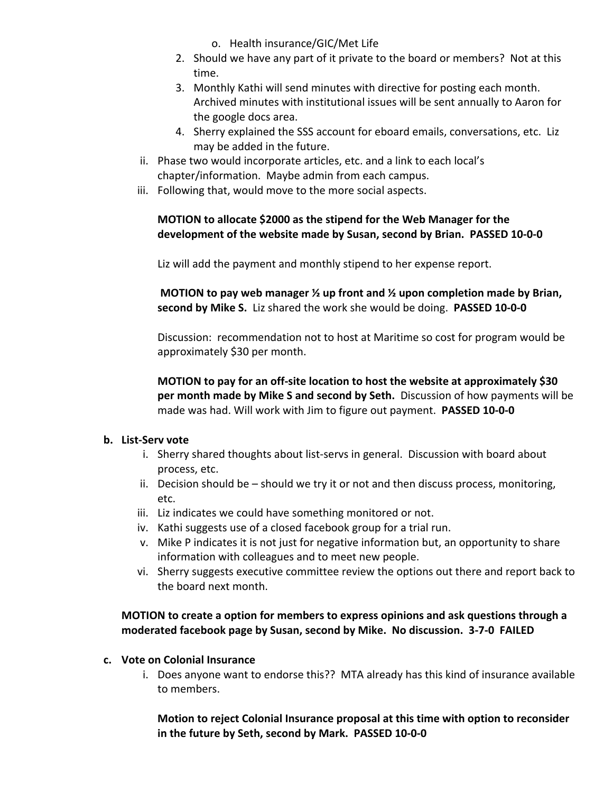- o. Health insurance/GIC/Met Life
- 2. Should we have any part of it private to the board or members? Not at this time.
- 3. Monthly Kathi will send minutes with directive for posting each month. Archived minutes with institutional issues will be sent annually to Aaron for the google docs area.
- 4. Sherry explained the SSS account for eboard emails, conversations, etc. Liz may be added in the future.
- ii. Phase two would incorporate articles, etc. and a link to each local's chapter/information. Maybe admin from each campus.
- iii. Following that, would move to the more social aspects.

## **MOTION to allocate \$2000 as the stipend for the Web Manager for the development of the website made by Susan, second by Brian. PASSED 10-0-0**

Liz will add the payment and monthly stipend to her expense report.

**MOTION to pay web manager ½ up front and ½ upon completion made by Brian, second by Mike S.** Liz shared the work she would be doing. **PASSED 10-0-0**

Discussion: recommendation not to host at Maritime so cost for program would be approximately \$30 per month.

**MOTION to pay for an off-site location to host the website at approximately \$30 per month made by Mike S and second by Seth.** Discussion of how payments will be made was had. Will work with Jim to figure out payment. **PASSED 10-0-0**

## **b. List-Serv vote**

- i. Sherry shared thoughts about list-servs in general. Discussion with board about process, etc.
- ii. Decision should be should we try it or not and then discuss process, monitoring, etc.
- iii. Liz indicates we could have something monitored or not.
- iv. Kathi suggests use of a closed facebook group for a trial run.
- v. Mike P indicates it is not just for negative information but, an opportunity to share information with colleagues and to meet new people.
- vi. Sherry suggests executive committee review the options out there and report back to the board next month.

# **MOTION to create a option for members to express opinions and ask questions through a moderated facebook page by Susan, second by Mike. No discussion. 3-7-0 FAILED**

- **c. Vote on Colonial Insurance**
	- i. Does anyone want to endorse this?? MTA already has this kind of insurance available to members.

**Motion to reject Colonial Insurance proposal at this time with option to reconsider in the future by Seth, second by Mark. PASSED 10-0-0**